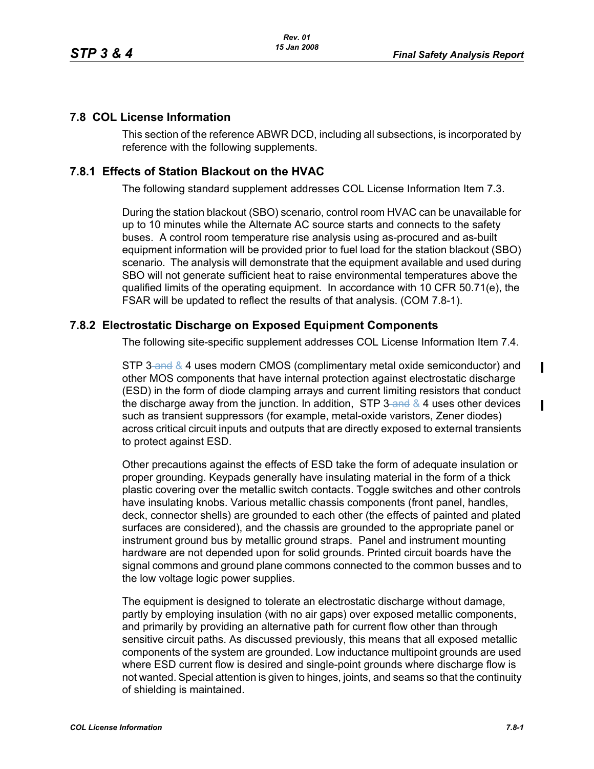## **7.8 COL License Information**

This section of the reference ABWR DCD, including all subsections, is incorporated by reference with the following supplements.

## **7.8.1 Effects of Station Blackout on the HVAC**

The following standard supplement addresses COL License Information Item 7.3.

During the station blackout (SBO) scenario, control room HVAC can be unavailable for up to 10 minutes while the Alternate AC source starts and connects to the safety buses. A control room temperature rise analysis using as-procured and as-built equipment information will be provided prior to fuel load for the station blackout (SBO) scenario. The analysis will demonstrate that the equipment available and used during SBO will not generate sufficient heat to raise environmental temperatures above the qualified limits of the operating equipment. In accordance with 10 CFR 50.71(e), the FSAR will be updated to reflect the results of that analysis. (COM 7.8-1).

## **7.8.2 Electrostatic Discharge on Exposed Equipment Components**

The following site-specific supplement addresses COL License Information Item 7.4.

STP 3 and & 4 uses modern CMOS (complimentary metal oxide semiconductor) and other MOS components that have internal protection against electrostatic discharge (ESD) in the form of diode clamping arrays and current limiting resistors that conduct the discharge away from the junction. In addition,  $STP$  3-and  $\&$  4 uses other devices such as transient suppressors (for example, metal-oxide varistors, Zener diodes) across critical circuit inputs and outputs that are directly exposed to external transients to protect against ESD.

Other precautions against the effects of ESD take the form of adequate insulation or proper grounding. Keypads generally have insulating material in the form of a thick plastic covering over the metallic switch contacts. Toggle switches and other controls have insulating knobs. Various metallic chassis components (front panel, handles, deck, connector shells) are grounded to each other (the effects of painted and plated surfaces are considered), and the chassis are grounded to the appropriate panel or instrument ground bus by metallic ground straps. Panel and instrument mounting hardware are not depended upon for solid grounds. Printed circuit boards have the signal commons and ground plane commons connected to the common busses and to the low voltage logic power supplies.

The equipment is designed to tolerate an electrostatic discharge without damage, partly by employing insulation (with no air gaps) over exposed metallic components, and primarily by providing an alternative path for current flow other than through sensitive circuit paths. As discussed previously, this means that all exposed metallic components of the system are grounded. Low inductance multipoint grounds are used where ESD current flow is desired and single-point grounds where discharge flow is not wanted. Special attention is given to hinges, joints, and seams so that the continuity of shielding is maintained.

 $\mathbf I$ 

П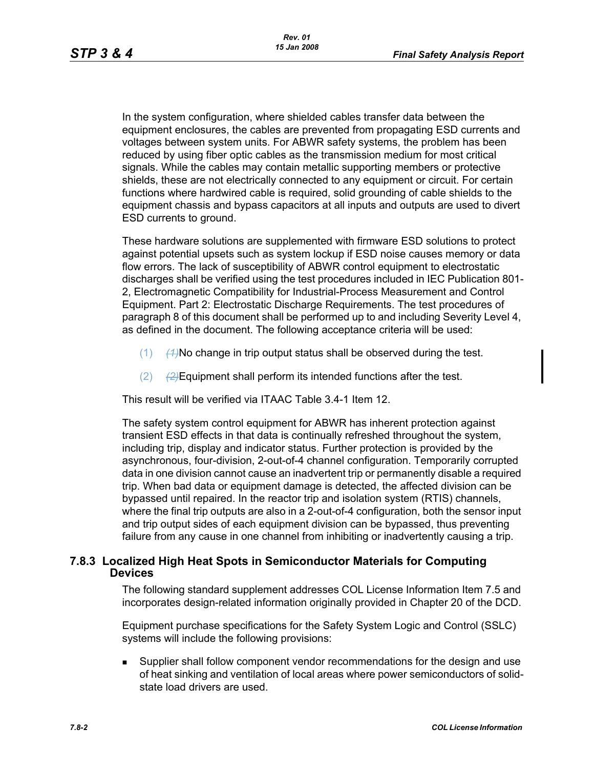In the system configuration, where shielded cables transfer data between the equipment enclosures, the cables are prevented from propagating ESD currents and voltages between system units. For ABWR safety systems, the problem has been reduced by using fiber optic cables as the transmission medium for most critical signals. While the cables may contain metallic supporting members or protective shields, these are not electrically connected to any equipment or circuit. For certain functions where hardwired cable is required, solid grounding of cable shields to the equipment chassis and bypass capacitors at all inputs and outputs are used to divert ESD currents to ground.

These hardware solutions are supplemented with firmware ESD solutions to protect against potential upsets such as system lockup if ESD noise causes memory or data flow errors. The lack of susceptibility of ABWR control equipment to electrostatic discharges shall be verified using the test procedures included in IEC Publication 801- 2, Electromagnetic Compatibility for Industrial-Process Measurement and Control Equipment. Part 2: Electrostatic Discharge Requirements. The test procedures of paragraph 8 of this document shall be performed up to and including Severity Level 4, as defined in the document. The following acceptance criteria will be used:

- (1) (4)No change in trip output status shall be observed during the test.
- (2) *(2)*Equipment shall perform its intended functions after the test.

This result will be verified via ITAAC Table 3.4-1 Item 12.

The safety system control equipment for ABWR has inherent protection against transient ESD effects in that data is continually refreshed throughout the system, including trip, display and indicator status. Further protection is provided by the asynchronous, four-division, 2-out-of-4 channel configuration. Temporarily corrupted data in one division cannot cause an inadvertent trip or permanently disable a required trip. When bad data or equipment damage is detected, the affected division can be bypassed until repaired. In the reactor trip and isolation system (RTIS) channels, where the final trip outputs are also in a 2-out-of-4 configuration, both the sensor input and trip output sides of each equipment division can be bypassed, thus preventing failure from any cause in one channel from inhibiting or inadvertently causing a trip.

## **7.8.3 Localized High Heat Spots in Semiconductor Materials for Computing Devices**

The following standard supplement addresses COL License Information Item 7.5 and incorporates design-related information originally provided in Chapter 20 of the DCD.

Equipment purchase specifications for the Safety System Logic and Control (SSLC) systems will include the following provisions:

**Supplier shall follow component vendor recommendations for the design and use** of heat sinking and ventilation of local areas where power semiconductors of solidstate load drivers are used.